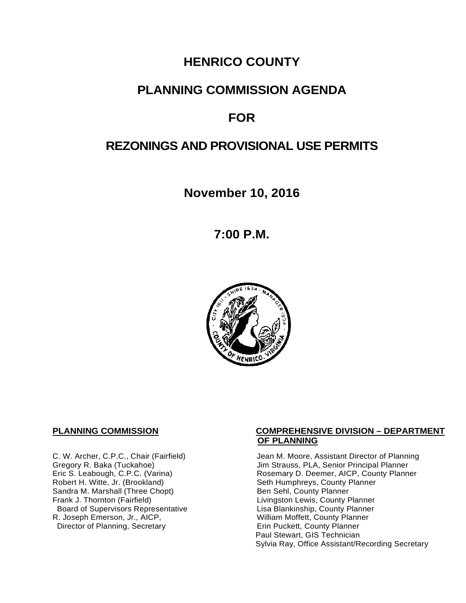# **HENRICO COUNTY**

# **PLANNING COMMISSION AGENDA**

# **FOR**

# **REZONINGS AND PROVISIONAL USE PERMITS**

**November 10, 2016**

**7:00 P.M.**



Sandra M. Marshall (Three Chopt)<br>Frank J. Thornton (Fairfield) Board of Supervisors Representative Fig. 2016 Lisa Blankinship, County Planner<br>L. Joseph Emerson, Jr., AICP, North County Planner (Nilliam Moffett, County Planner R. Joseph Emerson, Jr., AICP, <br>
Director of Planning, Secretary 
William Moffett, County Planner Director of Planning, Secretary

#### **PLANNING COMMISSION COMPREHENSIVE DIVISION – DEPARTMENT OF PLANNING**

C. W. Archer, C.P.C., Chair (Fairfield) Jean M. Moore, Assistant Director of Planning<br>Gregory R. Baka (Tuckahoe) Jim Strauss, PLA, Senior Principal Planner Gregory R. Baka (Tuckahoe) <br>
Eric S. Leabough, C.P.C. (Varina) Rosemary D. Deemer, AICP, County Planner Eric S. Leabough, C.P.C. (Varina) <br>
Rosemary D. Deemer, AICP, County Planner<br>
Robert H. Witte, Jr. (Brookland) Seth Humphreys, County Planner Seth Humphreys, County Planner<br>Ben Sehl, County Planner Livingston Lewis, County Planner<br>Lisa Blankinship, County Planner Paul Stewart, GIS Technician Sylvia Ray, Office Assistant/Recording Secretary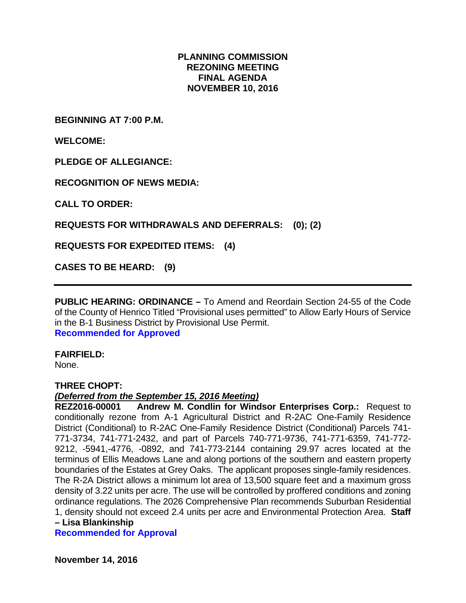#### **PLANNING COMMISSION REZONING MEETING FINAL AGENDA NOVEMBER 10, 2016**

**BEGINNING AT 7:00 P.M.**

**WELCOME:**

**PLEDGE OF ALLEGIANCE:**

**RECOGNITION OF NEWS MEDIA:**

**CALL TO ORDER:**

**REQUESTS FOR WITHDRAWALS AND DEFERRALS: (0); (2)**

**REQUESTS FOR EXPEDITED ITEMS: (4)**

**CASES TO BE HEARD: (9)**

**PUBLIC HEARING: ORDINANCE –** To Amend and Reordain Section 24-55 of the Code of the County of Henrico Titled "Provisional uses permitted" to Allow Early Hours of Service in the B-1 Business District by Provisional Use Permit. **Recommended for Approved**

**FAIRFIELD:** 

None.

#### **THREE CHOPT:**

# *(Deferred from the September 15, 2016 Meeting)*

**Andrew M. Condlin for Windsor Enterprises Corp.: Request to** conditionally rezone from A-1 Agricultural District and R-2AC One-Family Residence District (Conditional) to R-2AC One-Family Residence District (Conditional) Parcels 741- 771-3734, 741-771-2432, and part of Parcels 740-771-9736, 741-771-6359, 741-772- 9212, -5941,-4776, -0892, and 741-773-2144 containing 29.97 acres located at the terminus of Ellis Meadows Lane and along portions of the southern and eastern property boundaries of the Estates at Grey Oaks. The applicant proposes single-family residences. The R-2A District allows a minimum lot area of 13,500 square feet and a maximum gross density of 3.22 units per acre. The use will be controlled by proffered conditions and zoning ordinance regulations. The 2026 Comprehensive Plan recommends Suburban Residential 1, density should not exceed 2.4 units per acre and Environmental Protection Area. **Staff – Lisa Blankinship**

**Recommended for Approval**

**November 14, 2016**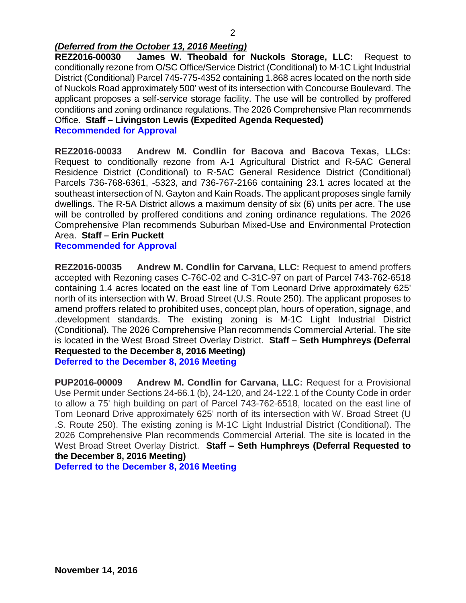### *(Deferred from the October 13, 2016 Meeting)*

**REZ2016-00030 James W. Theobald for Nuckols Storage, LLC:** Request to conditionally rezone from O/SC Office/Service District (Conditional) to M-1C Light Industrial District (Conditional) Parcel 745-775-4352 containing 1.868 acres located on the north side of Nuckols Road approximately 500' west of its intersection with Concourse Boulevard. The applicant proposes a self-service storage facility. The use will be controlled by proffered conditions and zoning ordinance regulations. The 2026 Comprehensive Plan recommends Office. **Staff – Livingston Lewis (Expedited Agenda Requested)**

**Recommended for Approval**

**REZ2016-00033 Andrew M. Condlin for Bacova and Bacova Texas, LLCs:** Request to conditionally rezone from A-1 Agricultural District and R-5AC General Residence District (Conditional) to R-5AC General Residence District (Conditional) Parcels 736-768-6361, -5323, and 736-767-2166 containing 23.1 acres located at the southeast intersection of N. Gayton and Kain Roads. The applicant proposes single family dwellings. The R-5A District allows a maximum density of six (6) units per acre. The use will be controlled by proffered conditions and zoning ordinance regulations. The 2026 Comprehensive Plan recommends Suburban Mixed-Use and Environmental Protection Area. **Staff – Erin Puckett**

#### **Recommended for Approval**

**REZ2016-00035 Andrew M. Condlin for Carvana, LLC:** Request to amend proffers accepted with Rezoning cases C-76C-02 and C-31C-97 on part of Parcel 743-762-6518 containing 1.4 acres located on the east line of Tom Leonard Drive approximately 625' north of its intersection with W. Broad Street (U.S. Route 250). The applicant proposes to amend proffers related to prohibited uses, concept plan, hours of operation, signage, and .development standards. The existing zoning is M-1C Light Industrial District (Conditional). The 2026 Comprehensive Plan recommends Commercial Arterial. The site is located in the West Broad Street Overlay District. **Staff – Seth Humphreys (Deferral Requested to the December 8, 2016 Meeting) Deferred to the December 8, 2016 Meeting**

**PUP2016-00009 Andrew M. Condlin for Carvana, LLC:** Request for a Provisional Use Permit under Sections 24-66.1 (b), 24-120, and 24-122.1 of the County Code in order to allow a 75' high building on part of Parcel 743-762-6518, located on the east line of Tom Leonard Drive approximately 625' north of its intersection with W. Broad Street (U .S. Route 250). The existing zoning is M-1C Light Industrial District (Conditional). The 2026 Comprehensive Plan recommends Commercial Arterial. The site is located in the West Broad Street Overlay District. **Staff – Seth Humphreys (Deferral Requested to the December 8, 2016 Meeting)**

**Deferred to the December 8, 2016 Meeting**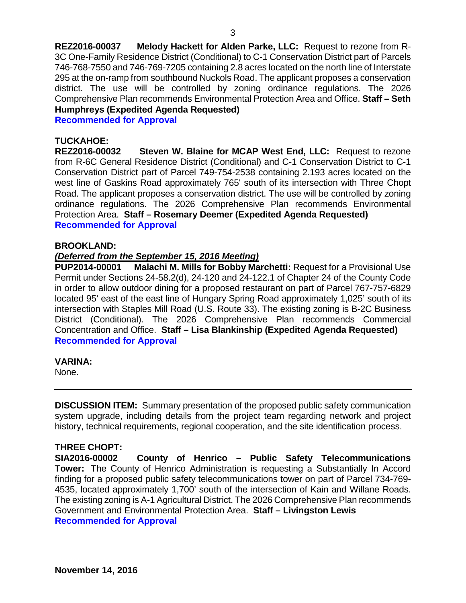**REZ2016-00037 Melody Hackett for Alden Parke, LLC:** Request to rezone from R-3C One-Family Residence District (Conditional) to C-1 Conservation District part of Parcels 746-768-7550 and 746-769-7205 containing 2.8 acres located on the north line of Interstate 295 at the on-ramp from southbound Nuckols Road. The applicant proposes a conservation district. The use will be controlled by zoning ordinance regulations. The 2026 Comprehensive Plan recommends Environmental Protection Area and Office. **Staff – Seth Humphreys (Expedited Agenda Requested)**

**Recommended for Approval**

#### **TUCKAHOE:**

**REZ2016-00032 Steven W. Blaine for MCAP West End, LLC:** Request to rezone from R-6C General Residence District (Conditional) and C-1 Conservation District to C-1 Conservation District part of Parcel 749-754-2538 containing 2.193 acres located on the west line of Gaskins Road approximately 765' south of its intersection with Three Chopt Road. The applicant proposes a conservation district. The use will be controlled by zoning ordinance regulations. The 2026 Comprehensive Plan recommends Environmental Protection Area. **Staff – Rosemary Deemer (Expedited Agenda Requested) Recommended for Approval**

#### **BROOKLAND:**

#### *(Deferred from the September 15, 2016 Meeting)*

**PUP2014-00001 Malachi M. Mills for Bobby Marchetti:** Request for a Provisional Use Permit under Sections 24-58.2(d), 24-120 and 24-122.1 of Chapter 24 of the County Code in order to allow outdoor dining for a proposed restaurant on part of Parcel 767-757-6829 located 95' east of the east line of Hungary Spring Road approximately 1,025' south of its intersection with Staples Mill Road (U.S. Route 33). The existing zoning is B-2C Business District (Conditional). The 2026 Comprehensive Plan recommends Commercial Concentration and Office. **Staff – Lisa Blankinship (Expedited Agenda Requested) Recommended for Approval**

#### **VARINA:**

None.

**DISCUSSION ITEM:** Summary presentation of the proposed public safety communication system upgrade, including details from the project team regarding network and project history, technical requirements, regional cooperation, and the site identification process.

#### **THREE CHOPT:**

**SIA2016-00002 County of Henrico – Public Safety Telecommunications Tower:** The County of Henrico Administration is requesting a Substantially In Accord finding for a proposed public safety telecommunications tower on part of Parcel 734-769- 4535, located approximately 1,700' south of the intersection of Kain and Willane Roads. The existing zoning is A-1 Agricultural District. The 2026 Comprehensive Plan recommends Government and Environmental Protection Area. **Staff – Livingston Lewis Recommended for Approval**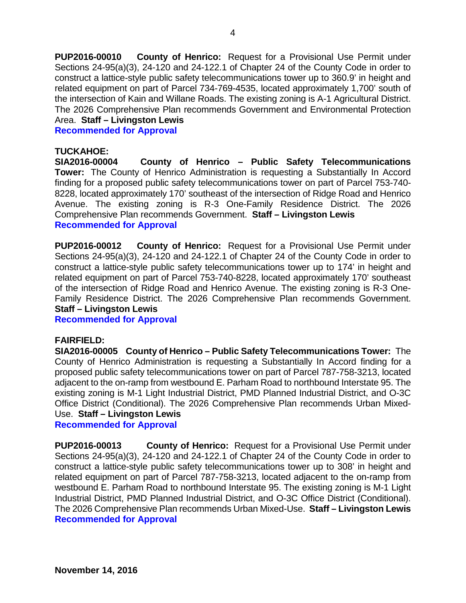**PUP2016-00010 County of Henrico:** Request for a Provisional Use Permit under Sections 24-95(a)(3), 24-120 and 24-122.1 of Chapter 24 of the County Code in order to construct a lattice-style public safety telecommunications tower up to 360.9' in height and related equipment on part of Parcel 734-769-4535, located approximately 1,700' south of the intersection of Kain and Willane Roads. The existing zoning is A-1 Agricultural District. The 2026 Comprehensive Plan recommends Government and Environmental Protection Area. **Staff – Livingston Lewis** 

**Recommended for Approval**

#### **TUCKAHOE:**

**SIA2016-00004 County of Henrico – Public Safety Telecommunications Tower:** The County of Henrico Administration is requesting a Substantially In Accord finding for a proposed public safety telecommunications tower on part of Parcel 753-740- 8228, located approximately 170' southeast of the intersection of Ridge Road and Henrico Avenue. The existing zoning is R-3 One-Family Residence District. The 2026 Comprehensive Plan recommends Government. **Staff – Livingston Lewis Recommended for Approval** 

**PUP2016-00012 County of Henrico:** Request for a Provisional Use Permit under Sections 24-95(a)(3), 24-120 and 24-122.1 of Chapter 24 of the County Code in order to construct a lattice-style public safety telecommunications tower up to 174' in height and related equipment on part of Parcel 753-740-8228, located approximately 170' southeast of the intersection of Ridge Road and Henrico Avenue. The existing zoning is R-3 One-Family Residence District. The 2026 Comprehensive Plan recommends Government. **Staff – Livingston Lewis** 

**Recommended for Approval**

#### **FAIRFIELD:**

**SIA2016-00005 County of Henrico – Public Safety Telecommunications Tower:** The County of Henrico Administration is requesting a Substantially In Accord finding for a proposed public safety telecommunications tower on part of Parcel 787-758-3213, located adjacent to the on-ramp from westbound E. Parham Road to northbound Interstate 95. The existing zoning is M-1 Light Industrial District, PMD Planned Industrial District, and O-3C Office District (Conditional). The 2026 Comprehensive Plan recommends Urban Mixed-Use. **Staff – Livingston Lewis**

#### **Recommended for Approval**

**PUP2016-00013 County of Henrico:** Request for a Provisional Use Permit under Sections 24-95(a)(3), 24-120 and 24-122.1 of Chapter 24 of the County Code in order to construct a lattice-style public safety telecommunications tower up to 308' in height and related equipment on part of Parcel 787-758-3213, located adjacent to the on-ramp from westbound E. Parham Road to northbound Interstate 95. The existing zoning is M-1 Light Industrial District, PMD Planned Industrial District, and O-3C Office District (Conditional). The 2026 Comprehensive Plan recommends Urban Mixed-Use. **Staff – Livingston Lewis Recommended for Approval**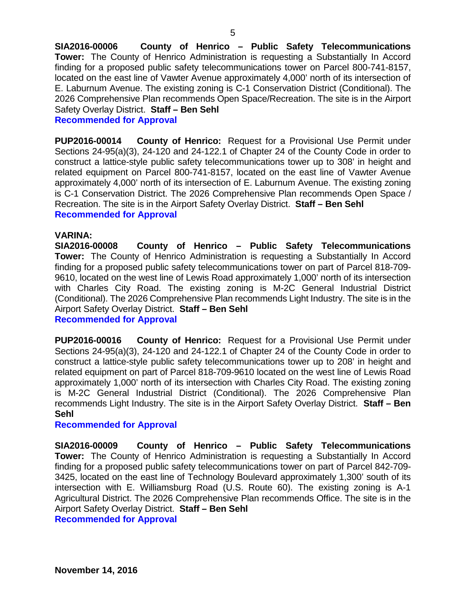**SIA2016-00006 County of Henrico – Public Safety Telecommunications Tower:** The County of Henrico Administration is requesting a Substantially In Accord finding for a proposed public safety telecommunications tower on Parcel 800-741-8157, located on the east line of Vawter Avenue approximately 4,000' north of its intersection of E. Laburnum Avenue. The existing zoning is C-1 Conservation District (Conditional). The 2026 Comprehensive Plan recommends Open Space/Recreation. The site is in the Airport Safety Overlay District. **Staff – Ben Sehl**

#### **Recommended for Approval**

**PUP2016-00014 County of Henrico:** Request for a Provisional Use Permit under Sections 24-95(a)(3), 24-120 and 24-122.1 of Chapter 24 of the County Code in order to construct a lattice-style public safety telecommunications tower up to 308' in height and related equipment on Parcel 800-741-8157, located on the east line of Vawter Avenue approximately 4,000' north of its intersection of E. Laburnum Avenue. The existing zoning is C-1 Conservation District. The 2026 Comprehensive Plan recommends Open Space / Recreation. The site is in the Airport Safety Overlay District. **Staff – Ben Sehl Recommended for Approval**

#### **VARINA:**

**SIA2016-00008 County of Henrico – Public Safety Telecommunications Tower:** The County of Henrico Administration is requesting a Substantially In Accord finding for a proposed public safety telecommunications tower on part of Parcel 818-709- 9610, located on the west line of Lewis Road approximately 1,000' north of its intersection with Charles City Road. The existing zoning is M-2C General Industrial District (Conditional). The 2026 Comprehensive Plan recommends Light Industry. The site is in the Airport Safety Overlay District. **Staff – Ben Sehl Recommended for Approval**

**PUP2016-00016 County of Henrico:** Request for a Provisional Use Permit under Sections 24-95(a)(3), 24-120 and 24-122.1 of Chapter 24 of the County Code in order to construct a lattice-style public safety telecommunications tower up to 208' in height and related equipment on part of Parcel 818-709-9610 located on the west line of Lewis Road approximately 1,000' north of its intersection with Charles City Road. The existing zoning is M-2C General Industrial District (Conditional). The 2026 Comprehensive Plan recommends Light Industry. The site is in the Airport Safety Overlay District. **Staff – Ben Sehl**

#### **Recommended for Approval**

**SIA2016-00009 County of Henrico – Public Safety Telecommunications Tower:** The County of Henrico Administration is requesting a Substantially In Accord finding for a proposed public safety telecommunications tower on part of Parcel 842-709- 3425, located on the east line of Technology Boulevard approximately 1,300' south of its intersection with E. Williamsburg Road (U.S. Route 60). The existing zoning is A-1 Agricultural District. The 2026 Comprehensive Plan recommends Office. The site is in the Airport Safety Overlay District. **Staff – Ben Sehl**

**Recommended for Approval**